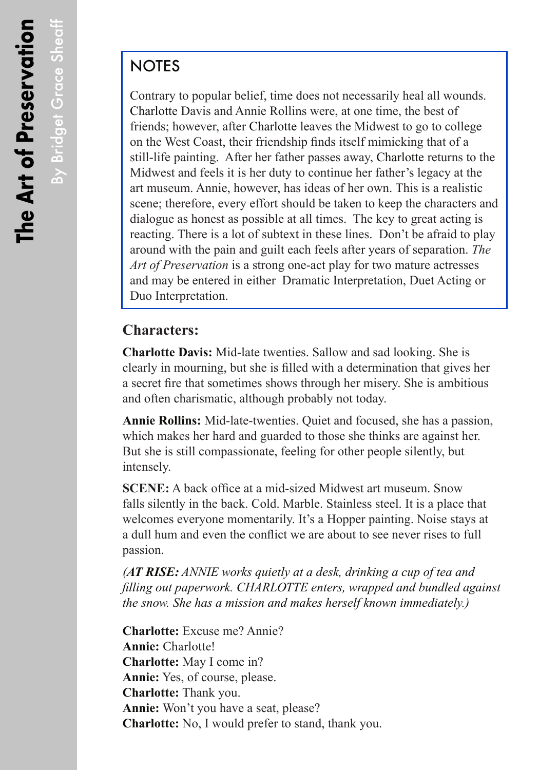By Bridget Grace Sheaff

By Bridget Grace Sheaff

## **NOTES**

Contrary to popular belief, time does not necessarily heal all wounds. Charlotte Davis and Annie Rollins were, at one time, the best of friends; however, after Charlotte leaves the Midwest to go to college on the West Coast, their friendship finds itself mimicking that of a still-life painting. After her father passes away, Charlotte returns to the Midwest and feels it is her duty to continue her father's legacy at the art museum. Annie, however, has ideas of her own. This is a realistic scene; therefore, every effort should be taken to keep the characters and dialogue as honest as possible at all times. The key to great acting is reacting. There is a lot of subtext in these lines. Don't be afraid to play around with the pain and guilt each feels after years of separation. *The Art of Preservation* is a strong one-act play for two mature actresses and may be entered in either Dramatic Interpretation, Duet Acting or Duo Interpretation.

## **Characters:**

**Charlotte Davis:** Mid-late twenties. Sallow and sad looking. She is clearly in mourning, but she is filled with a determination that gives her a secret fire that sometimes shows through her misery. She is ambitious and often charismatic, although probably not today.

**Annie Rollins:** Mid-late-twenties. Quiet and focused, she has a passion, which makes her hard and guarded to those she thinks are against her. But she is still compassionate, feeling for other people silently, but intensely.

**SCENE:** A back office at a mid-sized Midwest art museum. Snow falls silently in the back. Cold. Marble. Stainless steel. It is a place that welcomes everyone momentarily. It's a Hopper painting. Noise stays at a dull hum and even the conflict we are about to see never rises to full passion.

*(AT RISE: ANNIE works quietly at a desk, drinking a cup of tea and filling out paperwork. CHARLOTTE enters, wrapped and bundled against the snow. She has a mission and makes herself known immediately.)*

**Charlotte:** Excuse me? Annie? **Annie:** Charlotte! **Charlotte:** May I come in? **Annie:** Yes, of course, please. **Charlotte:** Thank you. **Annie:** Won't you have a seat, please? **Charlotte:** No, I would prefer to stand, thank you.